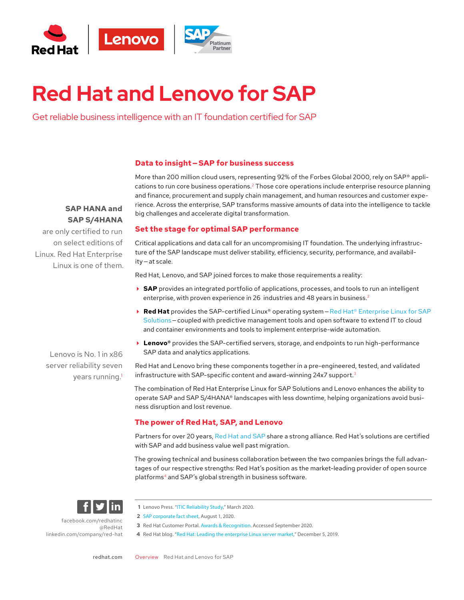

# **Red Hat and Lenovo for SAP**

Get reliable business intelligence with an IT foundation certified for SAP

#### **Data to insight — SAP for business success**

# **SAP HANA and SAP S/4HANA**

are only certified to run on select editions of Linux. Red Hat Enterprise Linux is one of them. More than 200 million cloud users, representing 92% of the Forbes Global 2000, rely on SAP<sup>®</sup> applications to run core business operations.<sup>2</sup> Those core operations include enterprise resource planning and finance, procurement and supply chain management, and human resources and customer experience. Across the enterprise, SAP transforms massive amounts of data into the intelligence to tackle big challenges and accelerate digital transformation.

# **Set the stage for optimal SAP performance**

Critical applications and data call for an uncompromising IT foundation. The underlying infrastructure of the SAP landscape must deliver stability, efficiency, security, performance, and availability — at scale.

Red Hat, Lenovo, and SAP joined forces to make those requirements a reality:

- ▶ SAP provides an integrated portfolio of applications, processes, and tools to run an intelligent enterprise, with proven experience in 26 industries and 48 years in business.<sup>2</sup>
- **Red Hat** provides the SAP-certified Linux® operating system Red Hat® Enterprise Linux for SAP [Solutions](https://www.redhat.com/en/resources/red-hat-enterprise-linux-sap-solutions-technology-overview) - coupled with predictive management tools and open software to extend IT to cloud and container environments and tools to implement enterprise-wide automation.
- **► Lenovo®** provides the SAP-certified servers, storage, and endpoints to run high-performance SAP data and analytics applications.

Lenovo is No. 1 in x86 server reliability seven years running.<sup>1</sup>

Red Hat and Lenovo bring these components together in a pre-engineered, tested, and validated infrastructure with SAP-specific content and award-winning 24x7 support.3

The combination of Red Hat Enterprise Linux for SAP Solutions and Lenovo enhances the ability to operate SAP and SAP S/4HANA® landscapes with less downtime, helping organizations avoid business disruption and lost revenue.

# **The power of Red Hat, SAP, and Lenovo**

Partners for over 20 years, [Red Hat and SAP](https://www.redhat.com/en/resources/solutions-for-SAP-datasheet) share a strong alliance. Red Hat's solutions are certified with SAP and add business value well past migration.

The growing technical and business collaboration between the two companies brings the full advantages of our respective strengths: Red Hat's position as the market-leading provider of open source platforms4 and SAP's global strength in business software.



[facebook.com/redhatinc](http://facebook.com/redhatinc

) [@RedHat](https://twitter.com/redhatnews) [linkedin.com/company/red-hat](http://linkedin.com/company/red-hat
)

- **1** Lenovo Press. "[ITIC Reliability Study](https://lenovopress.com/lp1117-itic-reliability-study)," March 2020.
- **2** [SAP corporate fact sheet](https://www.sap.com/corporate/en/company.html?pdf-asset=4666ecdd-b67c-0010-82c7-eda71af511fa&page=1), August 1, 2020.
- **3** Red Hat Customer Portal. [Awards & Recognition.](https://access.redhat.com/recognition/) Accessed September 2020.
- **4** Red Hat blog. ["Red Hat: Leading the enterprise Linux server market](https://www.redhat.com/en/blog/red-hat-leading-enterprise-linux-server-market?source=searchresultlisting)," December 5, 2019.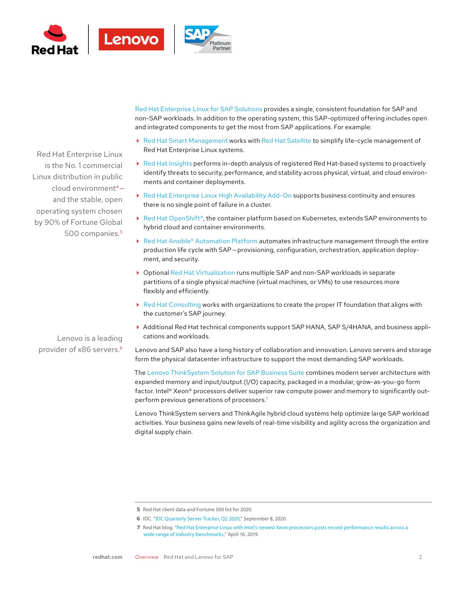

Red Hat Enterprise Linux is the No. 1 commercial Linux distribution in public cloud environment<sup>4</sup> and the stable, open operating system chosen by 90% of Fortune Global 500 companies.5

Lenovo is a leading provider of x86 servers.6 non-SAP workloads. In addition to the operating system, this SAP-optimized offering includes open and integrated components to get the most from SAP applications. For example:

 [Red Hat Smart Management](https://www.redhat.com/en/technologies/management/smart-management) works with [Red Hat Satellite](https://www.redhat.com/en/technologies/management/satellite) to simplify life-cycle management of Red Hat Enterprise Linux systems.

[Red Hat Enterprise Linux for SAP Solutions](http://www.redhat.com/en/sap) provides a single, consistent foundation for SAP and

- [Red Hat Insights](https://www.redhat.com/en/technologies/management/insights) performs in-depth analysis of registered Red Hat-based systems to proactively identify threats to security, performance, and stability across physical, virtual, and cloud environments and container deployments.
- [Red Hat Enterprise Linux High Availability Add-On](https://access.redhat.com/documentation/en-us/red_hat_enterprise_linux/7/html/high_availability_add-on_overview/index) supports business continuity and ensures there is no single point of failure in a cluster.
- ▶ [Red Hat OpenShift®](https://www.redhat.com/en/technologies/cloud-computing/openshift), the container platform based on Kubernetes, extends SAP environments to hybrid cloud and container environments.
- ▶ [Red Hat Ansible® Automation Platform](https://www.redhat.com/en/technologies/management/ansible) automates infrastructure management through the entire production life cycle with SAP — provisioning, configuration, orchestration, application deployment, and security.
- ▶ Optional [Red Hat Virtualization](https://www.redhat.com/en/technologies/virtualization/enterprise-virtualization) runs multiple SAP and non-SAP workloads in separate partitions of a single physical machine (virtual machines, or VMs) to use resources more flexibly and efficiently.
- [Red Hat Consulting](https://www.redhat.com/en/services/consulting) works with organizations to create the proper IT foundation that aligns with the customer's SAP journey.
- Additional Red Hat technical components support SAP HANA, SAP S/4HANA, and business applications and workloads.

Lenovo and SAP also have a long history of collaboration and innovation. Lenovo servers and storage form the physical datacenter infrastructure to support the most demanding SAP workloads.

The [Lenovo ThinkSystem Solution for SAP Business Suite](https://www.lenovo.com/us/en/data-center/solutions/sap/) combines modern server architecture with expanded memory and input/output (I/O) capacity, packaged in a modular, grow-as-you-go form factor. Intel® Xeon® processors deliver superior raw compute power and memory to significantly outperform previous generations of processors.7

Lenovo ThinkSystem servers and ThinkAgile hybrid cloud systems help optimize large SAP workload activities. Your business gains new levels of real-time visibility and agility across the organization and digital supply chain.

**<sup>5</sup>** Red Hat client data and Fortune 500 list for 2020.

**<sup>6</sup>** IDC. ["IDC Quarterly Server Tracker, Q2 2020](https://www.idc.com/getdoc.jsp?containerId=prUS46838120)," September 8, 2020.

**<sup>7</sup>** Red Hat blog. ["Red Hat Enterprise Linux with Intel's newest Xeon processors posts record performance results across a](https://www.redhat.com/en/blog/red-hat-enterprise-linux-intels-newest-xeon-processors-posts-record-performance-results-across-wide-range-industry-benchmarks?source=blogchannel)  [wide range of industry benchmarks](https://www.redhat.com/en/blog/red-hat-enterprise-linux-intels-newest-xeon-processors-posts-record-performance-results-across-wide-range-industry-benchmarks?source=blogchannel)," April 16, 2019.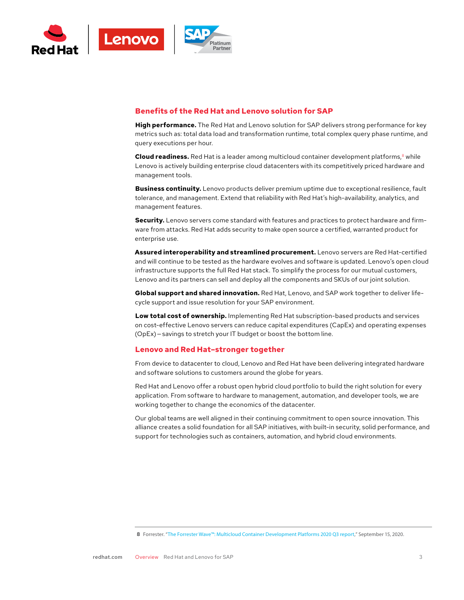

### **Benefits of the Red Hat and Lenovo solution for SAP**

**High performance.** The Red Hat and Lenovo solution for SAP delivers strong performance for key metrics such as: total data load and transformation runtime, total complex query phase runtime, and query executions per hour.

**Cloud readiness.** Red Hat is a leader among multicloud container development platforms,<sup>8</sup> while Lenovo is actively building enterprise cloud datacenters with its competitively priced hardware and management tools.

**Business continuity.** Lenovo products deliver premium uptime due to exceptional resilience, fault tolerance, and management. Extend that reliability with Red Hat's high-availability, analytics, and management features.

**Security.** Lenovo servers come standard with features and practices to protect hardware and firmware from attacks. Red Hat adds security to make open source a certified, warranted product for enterprise use.

**Assured interoperability and streamlined procurement.** Lenovo servers are Red Hat-certified and will continue to be tested as the hardware evolves and software is updated. Lenovo's open cloud infrastructure supports the full Red Hat stack. To simplify the process for our mutual customers, Lenovo and its partners can sell and deploy all the components and SKUs of our joint solution.

**Global support and shared innovation.** Red Hat, Lenovo, and SAP work together to deliver lifecycle support and issue resolution for your SAP environment.

**Low total cost of ownership.** Implementing Red Hat subscription-based products and services on cost-effective Lenovo servers can reduce capital expenditures (CapEx) and operating expenses (OpEx) — savings to stretch your IT budget or boost the bottom line.

#### **Lenovo and Red Hat–stronger together**

From device to datacenter to cloud, Lenovo and Red Hat have been delivering integrated hardware and software solutions to customers around the globe for years.

Red Hat and Lenovo offer a robust open hybrid cloud portfolio to build the right solution for every application. From software to hardware to management, automation, and developer tools, we are working together to change the economics of the datacenter.

Our global teams are well aligned in their continuing commitment to open source innovation. This alliance creates a solid foundation for all SAP initiatives, with built-in security, solid performance, and support for technologies such as containers, automation, and hybrid cloud environments.

**<sup>8</sup>** Forrester. ["The Forrester Wave™: Multicloud Container Development Platforms 2020 Q3 report,](https://www.redhat.com/en/resources/forrester-wave-multicloud-container-platform-analyst-material?source=searchresultlisting)" September 15, 2020.